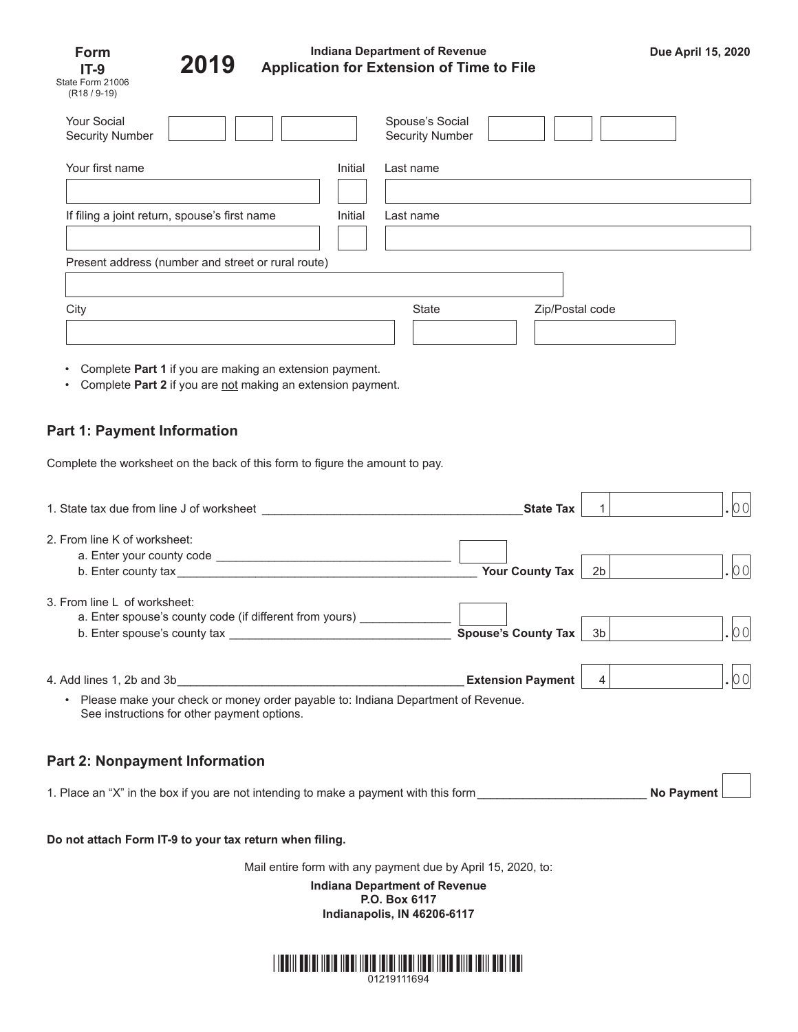| Form                     |  |  |  |
|--------------------------|--|--|--|
| IT-9                     |  |  |  |
| State Form 21006         |  |  |  |
| (R <sub>18</sub> / 9-19) |  |  |  |



# **Indiana Department of Revenue Application for Extension of Time to File Due April 15, 2020 2019**

n r

| <b>Your Social</b><br><b>Security Number</b>       |         | Spouse's Social<br><b>Security Number</b> |                 |  |  |  |
|----------------------------------------------------|---------|-------------------------------------------|-----------------|--|--|--|
| Your first name                                    | Initial | Last name                                 |                 |  |  |  |
|                                                    |         |                                           |                 |  |  |  |
| If filing a joint return, spouse's first name      | Initial | Last name                                 |                 |  |  |  |
| Present address (number and street or rural route) |         |                                           |                 |  |  |  |
|                                                    |         |                                           |                 |  |  |  |
| City                                               |         | State                                     | Zip/Postal code |  |  |  |
|                                                    |         |                                           |                 |  |  |  |

- Complete **Part 1** if you are making an extension payment.
- Complete Part 2 if you are not making an extension payment.

# **Part 1: Payment Information**

Complete the worksheet on the back of this form to figure the amount to pay.

| 1. State tax due from line J of worksheet                                                                                                    | <b>State Tax</b>         |    |                   |
|----------------------------------------------------------------------------------------------------------------------------------------------|--------------------------|----|-------------------|
| 2. From line K of worksheet:                                                                                                                 | <b>Your County Tax</b>   | 2b | 00                |
| 3. From line L of worksheet:<br>a. Enter spouse's county code (if different from yours) _____                                                | Spouse's County Tax      | 3b |                   |
| Please make your check or money order payable to: Indiana Department of Revenue.<br>$\bullet$<br>See instructions for other payment options. | <b>Extension Payment</b> | 4  | 00                |
| <b>Part 2: Nonpayment Information</b>                                                                                                        |                          |    |                   |
| 1. Place an "X" in the box if you are not intending to make a payment with this form                                                         |                          |    | <b>No Payment</b> |

### **Do not attach Form IT-9 to your tax return when filing.**

Mail entire form with any payment due by April 15, 2020, to:

**Indiana Department of Revenue P.O. Box 6117 Indianapolis, IN 46206-6117**